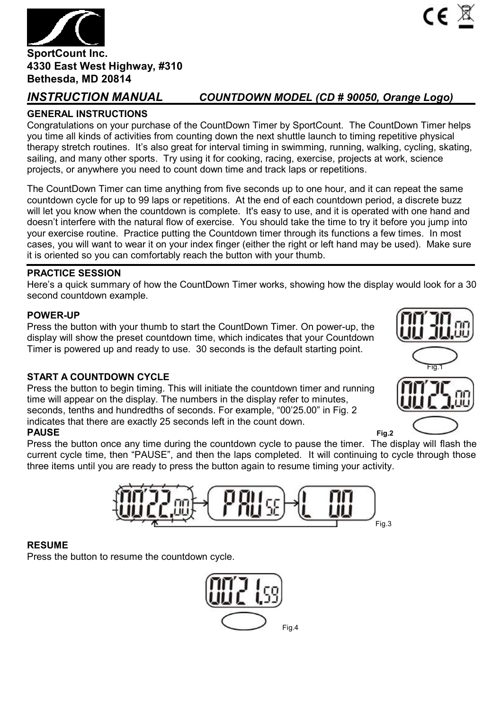

# *INSTRUCTION MANUAL COUNTDOWN MODEL (CD # 90050, Orange Logo)*

# **GENERAL INSTRUCTIONS**

Congratulations on your purchase of the CountDown Timer by SportCount. The CountDown Timer helps you time all kinds of activities from counting down the next shuttle launch to timing repetitive physical therapy stretch routines. It's also great for interval timing in swimming, running, walking, cycling, skating, sailing, and many other sports. Try using it for cooking, racing, exercise, projects at work, science projects, or anywhere you need to count down time and track laps or repetitions.

The CountDown Timer can time anything from five seconds up to one hour, and it can repeat the same countdown cycle for up to 99 laps or repetitions. At the end of each countdown period, a discrete buzz will let you know when the countdown is complete. It's easy to use, and it is operated with one hand and doesn't interfere with the natural flow of exercise. You should take the time to try it before you jump into your exercise routine. Practice putting the Countdown timer through its functions a few times. In most cases, you will want to wear it on your index finger (either the right or left hand may be used). Make sure it is oriented so you can comfortably reach the button with your thumb.

# **PRACTICE SESSION**

Here's a quick summary of how the CountDown Timer works, showing how the display would look for a 30 second countdown example.

## **POWER-UP**

Press the button with your thumb to start the CountDown Timer. On power-up, the display will show the preset countdown time, which indicates that your Countdown Timer is powered up and ready to use. 30 seconds is the default starting point.

## **START A COUNTDOWN CYCLE**

Press the button to begin timing. This will initiate the countdown timer and running time will appear on the display. The numbers in the display refer to minutes, seconds, tenths and hundredths of seconds. For example, "00'25.00" in Fig. 2 indicates that there are exactly 25 seconds left in the count down. **PAUSE Fig.2**

Press the button once any time during the countdown cycle to pause the timer. The display will flash the current cycle time, then "PAUSE", and then the laps completed. It will continuing to cycle through those three items until you are ready to press the button again to resume timing your activity.



## **RESUME**

Press the button to resume the countdown cycle.



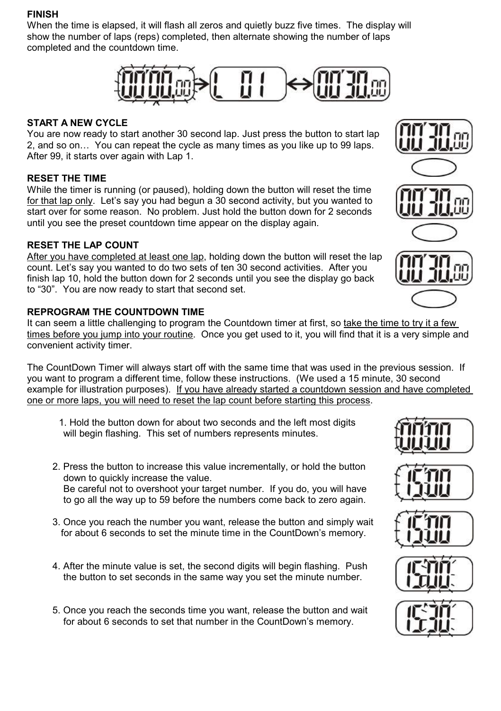## **FINISH**

When the time is elapsed, it will flash all zeros and quietly buzz five times. The display will show the number of laps (reps) completed, then alternate showing the number of laps completed and the countdown time.



# **START A NEW CYCLE**

You are now ready to start another 30 second lap. Just press the button to start lap 2, and so on… You can repeat the cycle as many times as you like up to 99 laps. After 99, it starts over again with Lap 1.

# **RESET THE TIME**

While the timer is running (or paused), holding down the button will reset the time for that lap only. Let's say you had begun a 30 second activity, but you wanted to start over for some reason. No problem. Just hold the button down for 2 seconds until you see the preset countdown time appear on the display again.

# **RESET THE LAP COUNT**

After you have completed at least one lap, holding down the button will reset the lap count. Let's say you wanted to do two sets of ten 30 second activities. After you finish lap 10, hold the button down for 2 seconds until you see the display go back to "30". You are now ready to start that second set.

# **REPROGRAM THE COUNTDOWN TIME**

It can seem a little challenging to program the Countdown timer at first, so take the time to try it a few times before you jump into your routine. Once you get used to it, you will find that it is a very simple and convenient activity timer.

The CountDown Timer will always start off with the same time that was used in the previous session. If you want to program a different time, follow these instructions. (We used a 15 minute, 30 second example for illustration purposes). If you have already started a countdown session and have completed one or more laps, you will need to reset the lap count before starting this process.

1. Hold the button down for about two seconds and the left most digits will begin flashing. This set of numbers represents minutes.

- 2. Press the button to increase this value incrementally, or hold the button down to quickly increase the value. Be careful not to overshoot your target number. If you do, you will have to go all the way up to 59 before the numbers come back to zero again.
- 3. Once you reach the number you want, release the button and simply wait for about 6 seconds to set the minute time in the CountDown's memory.
- 4. After the minute value is set, the second digits will begin flashing. Push the button to set seconds in the same way you set the minute number.
- 5. Once you reach the seconds time you want, release the button and wait for about 6 seconds to set that number in the CountDown's memory.









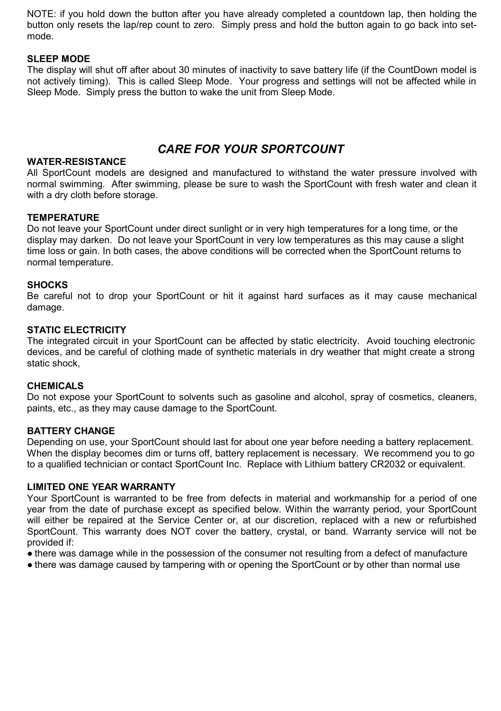NOTE: if you hold down the button after you have already completed a countdown lap, then holding the button only resets the lap/rep count to zero. Simply press and hold the button again to go back into setmode.

# **SLEEP MODE**

The display will shut off after about 30 minutes of inactivity to save battery life (if the CountDown model is not actively timing). This is called Sleep Mode. Your progress and settings will not be affected while in Sleep Mode. Simply press the button to wake the unit from Sleep Mode.

# *CARE FOR YOUR SPORTCOUNT*

## **WATER-RESISTANCE**

All SportCount models are designed and manufactured to withstand the water pressure involved with normal swimming. After swimming, please be sure to wash the SportCount with fresh water and clean it with a dry cloth before storage.

## **TEMPERATURE**

Do not leave your SportCount under direct sunlight or in very high temperatures for a long time, or the display may darken. Do not leave your SportCount in very low temperatures as this may cause a slight time loss or gain. In both cases, the above conditions will be corrected when the SportCount returns to normal temperature.

## **SHOCKS**

Be careful not to drop your SportCount or hit it against hard surfaces as it may cause mechanical damage.

## **STATIC ELECTRICITY**

The integrated circuit in your SportCount can be affected by static electricity. Avoid touching electronic devices, and be careful of clothing made of synthetic materials in dry weather that might create a strong static shock,

## **CHEMICALS**

Do not expose your SportCount to solvents such as gasoline and alcohol, spray of cosmetics, cleaners, paints, etc., as they may cause damage to the SportCount.

## **BATTERY CHANGE**

Depending on use, your SportCount should last for about one year before needing a battery replacement. When the display becomes dim or turns off, battery replacement is necessary. We recommend you to go to a qualified technician or contact SportCount Inc. Replace with Lithium battery CR2032 or equivalent.

## **LIMITED ONE YEAR WARRANTY**

Your SportCount is warranted to be free from defects in material and workmanship for a period of one year from the date of purchase except as specified below. Within the warranty period, your SportCount will either be repaired at the Service Center or, at our discretion, replaced with a new or refurbished SportCount. This warranty does NOT cover the battery, crystal, or band. Warranty service will not be provided if:

● there was damage while in the possession of the consumer not resulting from a defect of manufacture

• there was damage caused by tampering with or opening the SportCount or by other than normal use